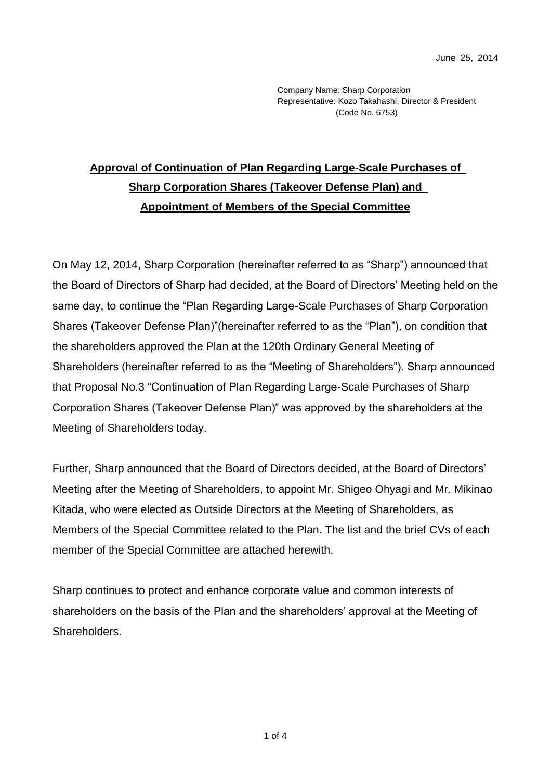Company Name: Sharp Corporation Representative: Kozo Takahashi, Director & President (Code No. 6753)

## **Approval of Continuation of Plan Regarding Large-Scale Purchases of Sharp Corporation Shares (Takeover Defense Plan) and Appointment of Members of the Special Committee**

On May 12, 2014, Sharp Corporation (hereinafter referred to as "Sharp") announced that the Board of Directors of Sharp had decided, at the Board of Directors' Meeting held on the same day, to continue the "Plan Regarding Large-Scale Purchases of Sharp Corporation Shares (Takeover Defense Plan)"(hereinafter referred to as the "Plan"), on condition that the shareholders approved the Plan at the 120th Ordinary General Meeting of Shareholders (hereinafter referred to as the "Meeting of Shareholders"). Sharp announced that Proposal No.3 "Continuation of Plan Regarding Large-Scale Purchases of Sharp Corporation Shares (Takeover Defense Plan)" was approved by the shareholders at the Meeting of Shareholders today.

Further, Sharp announced that the Board of Directors decided, at the Board of Directors' Meeting after the Meeting of Shareholders, to appoint Mr. Shigeo Ohyagi and Mr. Mikinao Kitada, who were elected as Outside Directors at the Meeting of Shareholders, as Members of the Special Committee related to the Plan. The list and the brief CVs of each member of the Special Committee are attached herewith.

Sharp continues to protect and enhance corporate value and common interests of shareholders on the basis of the Plan and the shareholders' approval at the Meeting of Shareholders.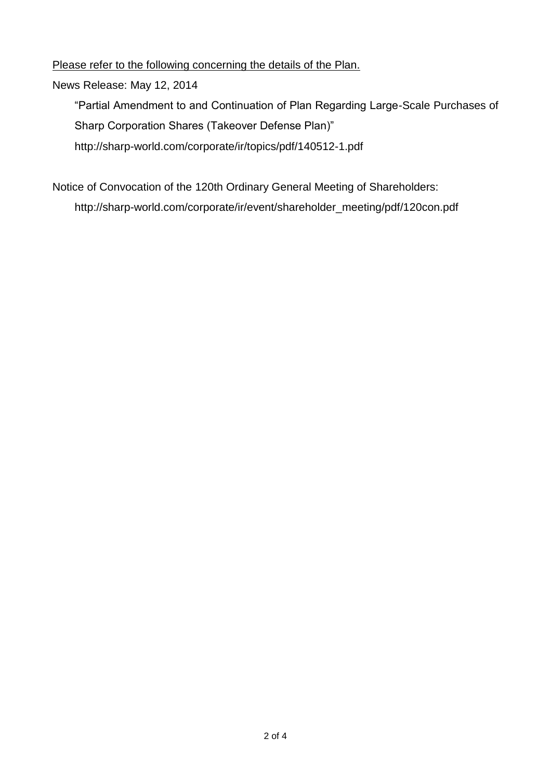Please refer to the following concerning the details of the Plan.

News Release: May 12, 2014

"Partial Amendment to and Continuation of Plan Regarding Large-Scale Purchases of Sharp Corporation Shares (Takeover Defense Plan)" http://sharp-world.com/corporate/ir/topics/pdf/140512-1.pdf

Notice of Convocation of the 120th Ordinary General Meeting of Shareholders: http://sharp-world.com/corporate/ir/event/shareholder\_meeting/pdf/120con.pdf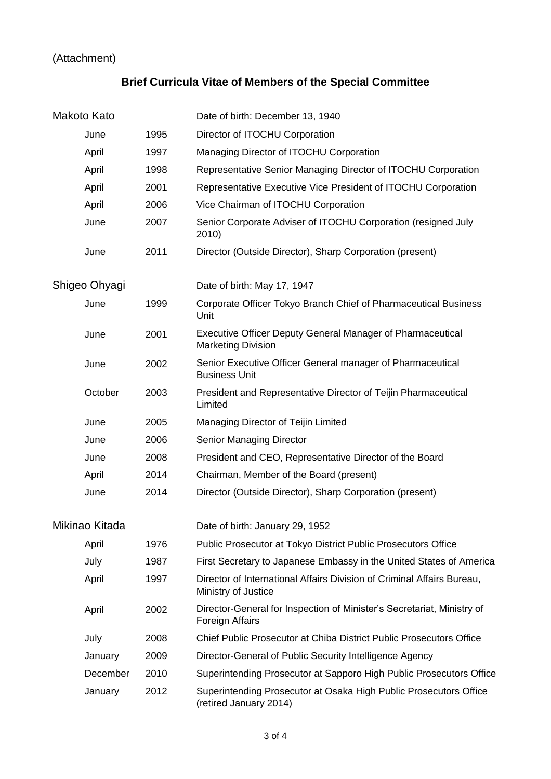## (Attachment)

## **Brief Curricula Vitae of Members of the Special Committee**

| Makoto Kato    |          |      | Date of birth: December 13, 1940                                                               |
|----------------|----------|------|------------------------------------------------------------------------------------------------|
|                | June     | 1995 | Director of ITOCHU Corporation                                                                 |
|                | April    | 1997 | Managing Director of ITOCHU Corporation                                                        |
|                | April    | 1998 | Representative Senior Managing Director of ITOCHU Corporation                                  |
|                | April    | 2001 | Representative Executive Vice President of ITOCHU Corporation                                  |
|                | April    | 2006 | Vice Chairman of ITOCHU Corporation                                                            |
|                | June     | 2007 | Senior Corporate Adviser of ITOCHU Corporation (resigned July<br>2010)                         |
|                | June     | 2011 | Director (Outside Director), Sharp Corporation (present)                                       |
| Shigeo Ohyagi  |          |      | Date of birth: May 17, 1947                                                                    |
|                | June     | 1999 | Corporate Officer Tokyo Branch Chief of Pharmaceutical Business<br>Unit                        |
|                | June     | 2001 | <b>Executive Officer Deputy General Manager of Pharmaceutical</b><br><b>Marketing Division</b> |
|                | June     | 2002 | Senior Executive Officer General manager of Pharmaceutical<br><b>Business Unit</b>             |
|                | October  | 2003 | President and Representative Director of Teijin Pharmaceutical<br>Limited                      |
|                | June     | 2005 | Managing Director of Teijin Limited                                                            |
|                | June     | 2006 | Senior Managing Director                                                                       |
|                | June     | 2008 | President and CEO, Representative Director of the Board                                        |
|                | April    | 2014 | Chairman, Member of the Board (present)                                                        |
|                | June     | 2014 | Director (Outside Director), Sharp Corporation (present)                                       |
| Mikinao Kitada |          |      | Date of birth: January 29, 1952                                                                |
|                | April    | 1976 | Public Prosecutor at Tokyo District Public Prosecutors Office                                  |
|                | July     | 1987 | First Secretary to Japanese Embassy in the United States of America                            |
|                | April    | 1997 | Director of International Affairs Division of Criminal Affairs Bureau,<br>Ministry of Justice  |
|                | April    | 2002 | Director-General for Inspection of Minister's Secretariat, Ministry of<br>Foreign Affairs      |
|                | July     | 2008 | Chief Public Prosecutor at Chiba District Public Prosecutors Office                            |
|                | January  | 2009 | Director-General of Public Security Intelligence Agency                                        |
|                | December | 2010 | Superintending Prosecutor at Sapporo High Public Prosecutors Office                            |
|                | January  | 2012 | Superintending Prosecutor at Osaka High Public Prosecutors Office<br>(retired January 2014)    |